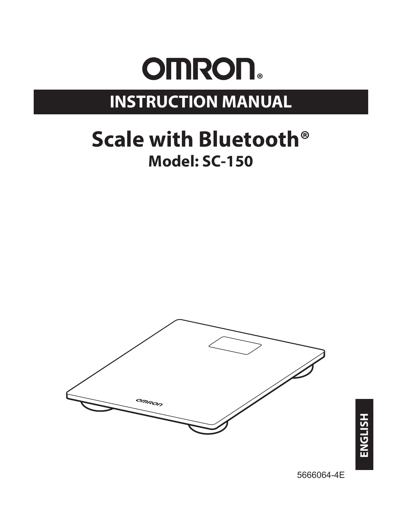# **OMRON**

## **INSTRUCTION MANUAL**

## **Scale with Bluetooth® Model: SC-150**



**ENGLISH**

5666064-4E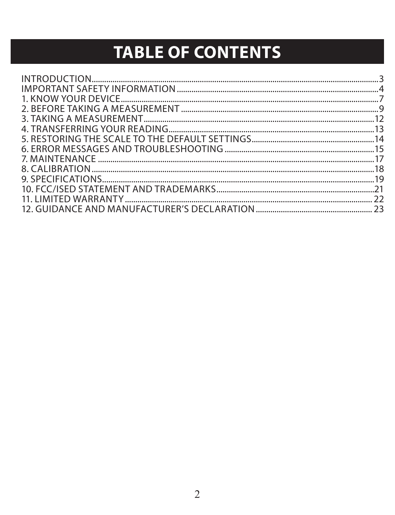## **TABLE OF CONTENTS**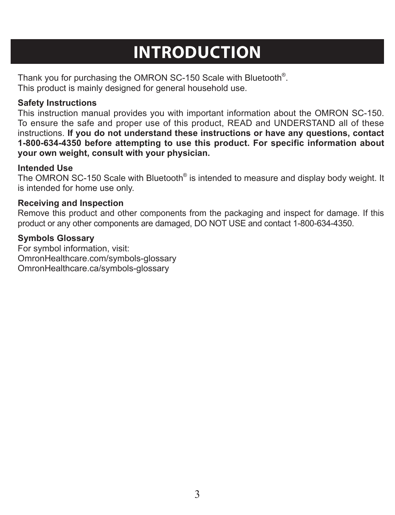### **INTRODUCTION**

<span id="page-2-0"></span>Thank you for purchasing the OMRON SC-150 Scale with Bluetooth® . This product is mainly designed for general household use.

#### **Safety Instructions**

This instruction manual provides you with important information about the OMRON SC-150. To ensure the safe and proper use of this product, READ and UNDERSTAND all of these instructions. **If you do not understand these instructions or have any questions, contact 1-800-634-4350 before attempting to use this product. For specific information about your own weight, consult with your physician.**

#### **Intended Use**

The OMRON SC-150 Scale with Bluetooth® is intended to measure and display body weight. It is intended for home use only.

#### **Receiving and Inspection**

Remove this product and other components from the packaging and inspect for damage. If this product or any other components are damaged, DO NOT USE and contact 1-800-634-4350.

#### **Symbols Glossary**

For symbol information, visit: OmronHealthcare.com/symbols-glossary OmronHealthcare.ca/symbols-glossary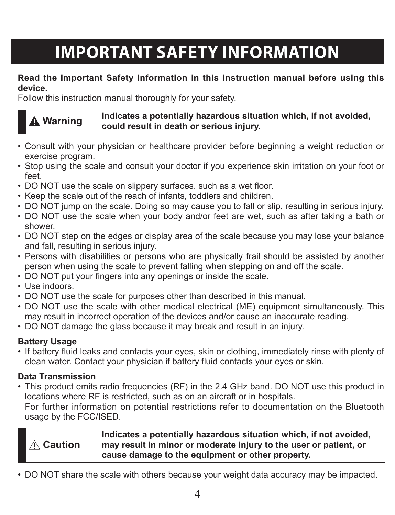## <span id="page-3-0"></span>**IMPORTANT SAFETY INFORMATION**

#### **Read the Important Safety Information in this instruction manual before using this device.**

Follow this instruction manual thoroughly for your safety.

#### *A* Warning lndicates a potentially hazardous situation which, if not avoided, **could result in death or serious injury.**

- Consult with your physician or healthcare provider before beginning a weight reduction or exercise program.
- Stop using the scale and consult your doctor if you experience skin irritation on your foot or feet.
- DO NOT use the scale on slippery surfaces, such as a wet floor.
- Keep the scale out of the reach of infants, toddlers and children.
- DO NOT jump on the scale. Doing so may cause you to fall or slip, resulting in serious injury.
- DO NOT use the scale when your body and/or feet are wet, such as after taking a bath or shower.
- DO NOT step on the edges or display area of the scale because you may lose your balance and fall, resulting in serious injury.
- Persons with disabilities or persons who are physically frail should be assisted by another person when using the scale to prevent falling when stepping on and off the scale.
- DO NOT put your fingers into any openings or inside the scale.
- Use indoors.
- DO NOT use the scale for purposes other than described in this manual.
- DO NOT use the scale with other medical electrical (ME) equipment simultaneously. This may result in incorrect operation of the devices and/or cause an inaccurate reading.
- DO NOT damage the glass because it may break and result in an injury.

#### **Battery Usage**

• If battery fluid leaks and contacts your eyes, skin or clothing, immediately rinse with plenty of clean water. Contact your physician if battery fluid contacts your eyes or skin.

#### **Data Transmission**

• This product emits radio frequencies (RF) in the 2.4 GHz band. DO NOT use this product in locations where RF is restricted, such as on an aircraft or in hospitals.

For further information on potential restrictions refer to documentation on the Bluetooth usage by the FCC/ISED.

#### **Caution Indicates a potentially hazardous situation which, if not avoided, may result in minor or moderate injury to the user or patient, or cause damage to the equipment or other property.**

• DO NOT share the scale with others because your weight data accuracy may be impacted.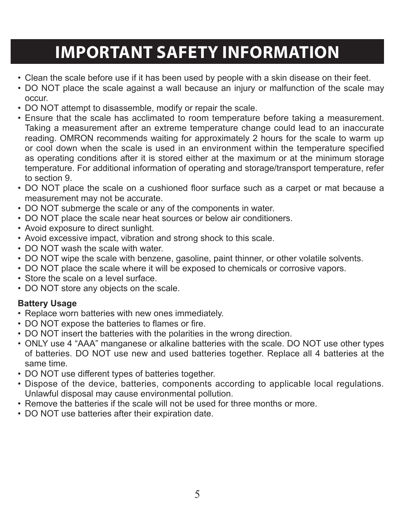### **IMPORTANT SAFETY INFORMATION**

- Clean the scale before use if it has been used by people with a skin disease on their feet.
- DO NOT place the scale against a wall because an injury or malfunction of the scale may occur.
- DO NOT attempt to disassemble, modify or repair the scale.
- Ensure that the scale has acclimated to room temperature before taking a measurement. Taking a measurement after an extreme temperature change could lead to an inaccurate reading. OMRON recommends waiting for approximately 2 hours for the scale to warm up or cool down when the scale is used in an environment within the temperature specified as operating conditions after it is stored either at the maximum or at the minimum storage temperature. For additional information of operating and storage/transport temperature, refer to [section 9.](#page-18-1)
- DO NOT place the scale on a cushioned floor surface such as a carpet or mat because a measurement may not be accurate.
- DO NOT submerge the scale or any of the components in water.
- DO NOT place the scale near heat sources or below air conditioners.
- Avoid exposure to direct sunlight.
- Avoid excessive impact, vibration and strong shock to this scale.
- DO NOT wash the scale with water.
- DO NOT wipe the scale with benzene, gasoline, paint thinner, or other volatile solvents.
- DO NOT place the scale where it will be exposed to chemicals or corrosive vapors.
- Store the scale on a level surface.
- DO NOT store any objects on the scale.

#### **Battery Usage**

- Replace worn batteries with new ones immediately.
- DO NOT expose the batteries to flames or fire.
- DO NOT insert the batteries with the polarities in the wrong direction.
- ONLY use 4 "AAA" manganese or alkaline batteries with the scale. DO NOT use other types of batteries. DO NOT use new and used batteries together. Replace all 4 batteries at the same time.
- DO NOT use different types of batteries together.
- Dispose of the device, batteries, components according to applicable local regulations. Unlawful disposal may cause environmental pollution.
- Remove the batteries if the scale will not be used for three months or more.
- DO NOT use batteries after their expiration date.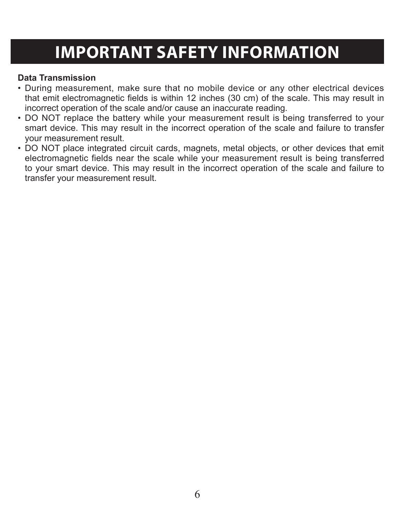### **IMPORTANT SAFETY INFORMATION**

#### **Data Transmission**

- During measurement, make sure that no mobile device or any other electrical devices that emit electromagnetic fields is within 12 inches (30 cm) of the scale. This may result in incorrect operation of the scale and/or cause an inaccurate reading.
- DO NOT replace the battery while your measurement result is being transferred to your smart device. This may result in the incorrect operation of the scale and failure to transfer your measurement result.
- DO NOT place integrated circuit cards, magnets, metal objects, or other devices that emit electromagnetic fields near the scale while your measurement result is being transferred to your smart device. This may result in the incorrect operation of the scale and failure to transfer your measurement result.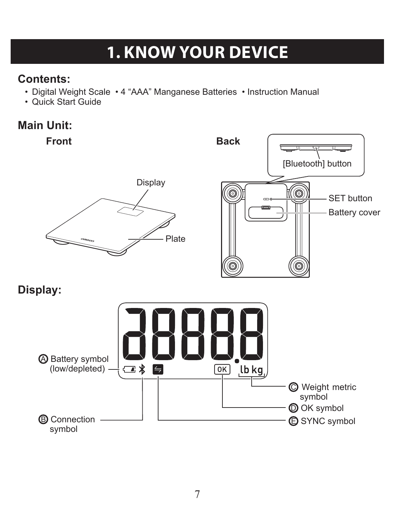### **1. KNOW YOUR DEVICE**

### <span id="page-6-0"></span>**Contents:**

- Digital Weight Scale 4 "AAA" Manganese Batteries Instruction Manual
- Quick Start Guide

**Main Unit:**





### **Display:**

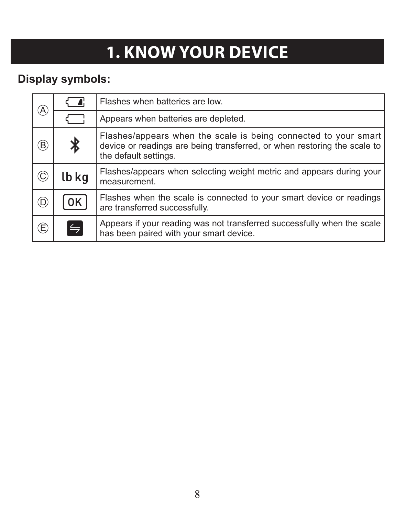## **1. KNOW YOUR DEVICE**

### **Display symbols:**

| $\mathcal{A}$   | ∦⊿ }             | Flashes when batteries are low.                                                                                                                                      |
|-----------------|------------------|----------------------------------------------------------------------------------------------------------------------------------------------------------------------|
|                 |                  | Appears when batteries are depleted.                                                                                                                                 |
| $\circledR$     | $\bigstar$       | Flashes/appears when the scale is being connected to your smart<br>device or readings are being transferred, or when restoring the scale to<br>the default settings. |
| $\mathbb{C}$    | lb kg            | Flashes/appears when selecting weight metric and appears during your<br>measurement.                                                                                 |
| $^{\copyright}$ | 0K               | Flashes when the scale is connected to your smart device or readings<br>are transferred successfully.                                                                |
| ⋐               | $\left  \right $ | Appears if your reading was not transferred successfully when the scale<br>has been paired with your smart device.                                                   |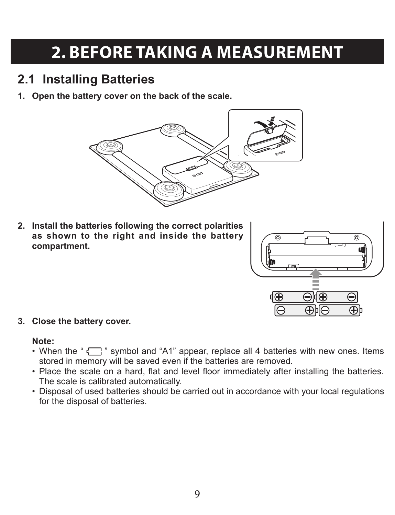### <span id="page-8-0"></span>**2. BEFORE TAKING A MEASUREMENT**

### <span id="page-8-1"></span>**2.1 Installing Batteries**

**1. Open the battery cover on the back of the scale.**



**2. Install the batteries following the correct polarities as shown to the right and inside the battery compartment.**



**3. Close the battery cover.**

#### **Note:**

- When the "  $\Box$  " symbol and "A1" appear, replace all 4 batteries with new ones. Items stored in memory will be saved even if the batteries are removed.
- Place the scale on a hard, flat and level floor immediately after installing the batteries. The scale is calibrated automatically.
- Disposal of used batteries should be carried out in accordance with your local regulations for the disposal of batteries.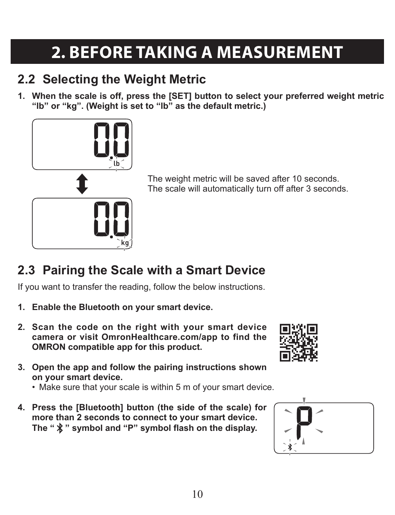## **2. BEFORE TAKING A MEASUREMENT**

### **2.2 Selecting the Weight Metric**

**1. When the scale is off, press the [SET] button to select your preferred weight metric "lb" or "kg". (Weight is set to "lb" as the default metric.)**



The weight metric will be saved after 10 seconds. The scale will automatically turn off after 3 seconds.

### **2.3 Pairing the Scale with a Smart Device**

If you want to transfer the reading, follow the below instructions.

- **1. Enable the Bluetooth on your smart device.**
- **2. Scan the code on the right with your smart device camera or visit OmronHealthcare.com/app to find the OMRON compatible app for this product.**



• Make sure that your scale is within 5 m of your smart device.

**4. Press the [Bluetooth] button (the side of the scale) for more than 2 seconds to connect to your smart device. The " " symbol and "P" symbol flash on the display.**

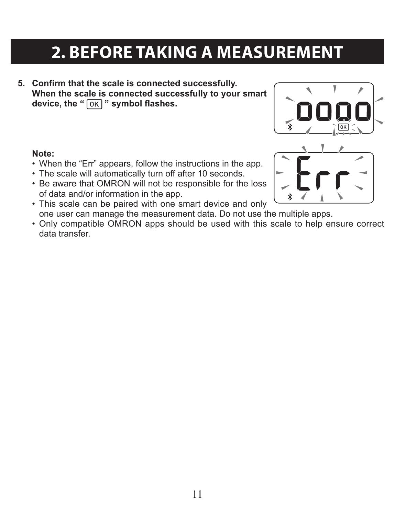### **2. BEFORE TAKING A MEASUREMENT**

**5. Confirm that the scale is connected successfully. When the scale is connected successfully to your smart device, the " " symbol flashes.**



#### **Note:**

- When the "Err" appears, follow the instructions in the app.
- The scale will automatically turn off after 10 seconds.
- Be aware that OMRON will not be responsible for the loss of data and/or information in the app.
- This scale can be paired with one smart device and only one user can manage the measurement data. Do not use the multiple apps.
- Only compatible OMRON apps should be used with this scale to help ensure correct data transfer.

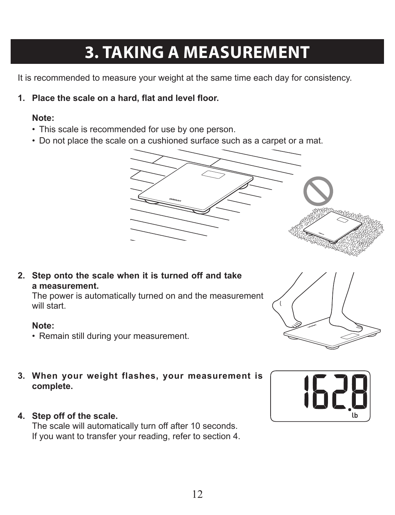## **3. TAKING A MEASUREMENT**

<span id="page-11-0"></span>It is recommended to measure your weight at the same time each day for consistency.

**1. Place the scale on a hard, flat and level floor.**

#### **Note:**

- This scale is recommended for use by one person.
- Do not place the scale on a cushioned surface such as a carpet or a mat.



**2. Step onto the scale when it is turned off and take a measurement.**

The power is automatically turned on and the measurement will start.

#### **Note:**

- Remain still during your measurement.
- **3. When your weight flashes, your measurement is complete.**

#### **4. Step off of the scale.**

The scale will automatically turn off after 10 seconds. If you want to transfer your reading, refer to [section 4.](#page-12-1)



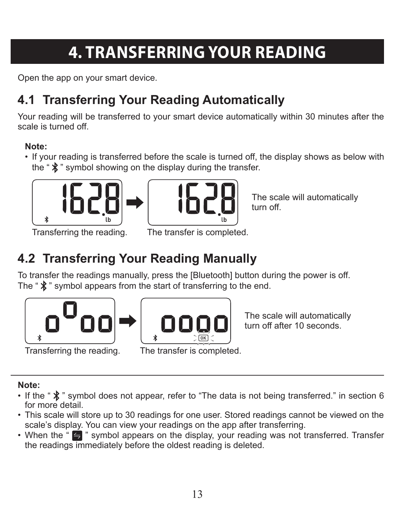## <span id="page-12-1"></span>**4. TRANSFERRING YOUR READING**

<span id="page-12-0"></span>Open the app on your smart device.

### **4.1 Transferring Your Reading Automatically**

Your reading will be transferred to your smart device automatically within 30 minutes after the scale is turned off.

#### **Note:**

• If your reading is transferred before the scale is turned off, the display shows as below with the " $\hat{\mathbf{x}}$ " symbol showing on the display during the transfer.





The scale will automatically turn off.

Transferring the reading. The transfer is completed.

### **4.2 Transferring Your Reading Manually**

To transfer the readings manually, press the [Bluetooth] button during the power is off. The " $\mathbf{\hat{x}}$ " symbol appears from the start of transferring to the end.



The scale will automatically turn off after 10 seconds.

#### **Note:**

- If the "  $\hat{\mathbf{x}}$  " symbol does not appear, refer to "[The data is not being transferred.](#page-15-0)" in [section 6](#page-14-1) for more detail.
- This scale will store up to 30 readings for one user. Stored readings cannot be viewed on the scale's display. You can view your readings on the app after transferring.
- When the "  $\sum$  " symbol appears on the display, your reading was not transferred. Transfer the readings immediately before the oldest reading is deleted.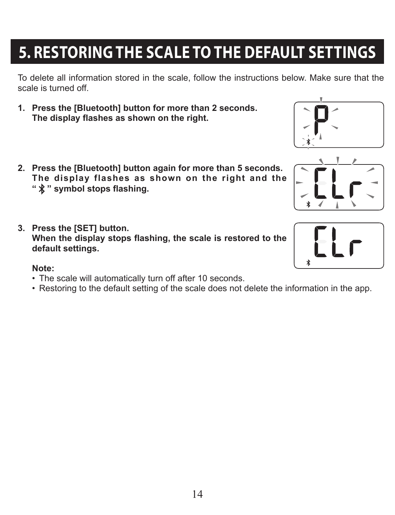## <span id="page-13-0"></span>**5. RESTORING THE SCALE TO THE DEFAULT SETTINGS**

To delete all information stored in the scale, follow the instructions below. Make sure that the scale is turned off.

- **1. Press the [Bluetooth] button for more than 2 seconds. The display flashes as shown on the right.**
- **2. Press the [Bluetooth] button again for more than 5 seconds. The display flashes as shown on the right and the " " symbol stops flashing.**
- **3. Press the [SET] button. When the display stops flashing, the scale is restored to the default settings.**

#### **Note:**

- The scale will automatically turn off after 10 seconds.
- Restoring to the default setting of the scale does not delete the information in the app.





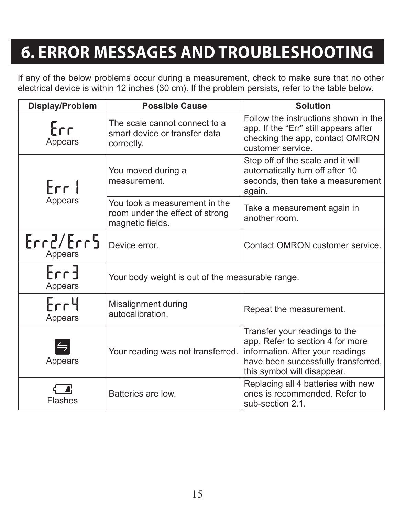## <span id="page-14-1"></span><span id="page-14-0"></span>**6. ERROR MESSAGES AND TROUBLESHOOTING**

If any of the below problems occur during a measurement, check to make sure that no other electrical device is within 12 inches (30 cm). If the problem persists, refer to the table below.

| Display/Problem            | <b>Possible Cause</b>                                                                | <b>Solution</b>                                                                                                                                                             |
|----------------------------|--------------------------------------------------------------------------------------|-----------------------------------------------------------------------------------------------------------------------------------------------------------------------------|
| Err<br>Appears             | The scale cannot connect to a<br>smart device or transfer data<br>correctly.         | Follow the instructions shown in the<br>app. If the "Err" still appears after<br>checking the app, contact OMRON<br>customer service.                                       |
| Err I                      | You moved during a<br>measurement.                                                   | Step off of the scale and it will<br>automatically turn off after 10<br>seconds, then take a measurement<br>again.                                                          |
| Appears                    | You took a measurement in the<br>room under the effect of strong<br>magnetic fields. | Take a measurement again in<br>another room.                                                                                                                                |
| $Err$ 2/Err $S$<br>Appears | Device error.                                                                        | Contact OMRON customer service.                                                                                                                                             |
| Err<br>Appears             | Your body weight is out of the measurable range.                                     |                                                                                                                                                                             |
| $Err$ 4<br>Appears         | Misalignment during<br>autocalibration.                                              | Repeat the measurement.                                                                                                                                                     |
| Appears                    | Your reading was not transferred.                                                    | Transfer your readings to the<br>app. Refer to section 4 for more<br>information. After your readings<br>have been successfully transferred,<br>this symbol will disappear. |
| Flashes                    | Batteries are low.                                                                   | Replacing all 4 batteries with new<br>ones is recommended. Refer to<br>sub-section 2.1.                                                                                     |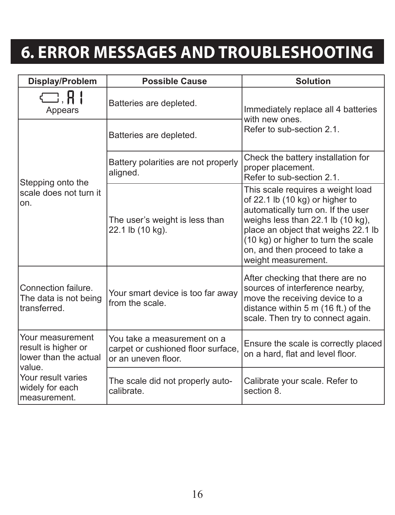## **6. ERROR MESSAGES AND TROUBLESHOOTING**

<span id="page-15-0"></span>

| Display/Problem                                                                                                                     | <b>Possible Cause</b>                                                                    | Solution                                                                                                                                                                                                                                                                               |
|-------------------------------------------------------------------------------------------------------------------------------------|------------------------------------------------------------------------------------------|----------------------------------------------------------------------------------------------------------------------------------------------------------------------------------------------------------------------------------------------------------------------------------------|
| $\leftarrow$ , R I<br>Appears                                                                                                       | Batteries are depleted.                                                                  | Immediately replace all 4 batteries<br>with new ones.                                                                                                                                                                                                                                  |
| Stepping onto the<br>scale does not turn it<br>on.                                                                                  | Batteries are depleted.                                                                  | Refer to sub-section 2.1.                                                                                                                                                                                                                                                              |
|                                                                                                                                     | Battery polarities are not properly<br>aligned.                                          | Check the battery installation for<br>proper placement.<br>Refer to sub-section 2.1.                                                                                                                                                                                                   |
|                                                                                                                                     | The user's weight is less than<br>22.1 lb (10 kg).                                       | This scale requires a weight load<br>of 22.1 lb (10 kg) or higher to<br>automatically turn on. If the user<br>weighs less than 22.1 lb (10 kg),<br>place an object that weighs 22.1 lb<br>(10 kg) or higher to turn the scale<br>on, and then proceed to take a<br>weight measurement. |
| Connection failure.<br>The data is not being<br>transferred.                                                                        | Your smart device is too far away<br>from the scale.                                     | After checking that there are no<br>sources of interference nearby,<br>move the receiving device to a<br>distance within 5 m (16 ft.) of the<br>scale. Then try to connect again.                                                                                                      |
| Your measurement<br>result is higher or<br>lower than the actual<br>value.<br>Your result varies<br>widely for each<br>measurement. | You take a measurement on a<br>carpet or cushioned floor surface,<br>or an uneven floor. | Ensure the scale is correctly placed<br>on a hard, flat and level floor.                                                                                                                                                                                                               |
|                                                                                                                                     | The scale did not properly auto-<br>calibrate.                                           | Calibrate your scale. Refer to<br>section 8.                                                                                                                                                                                                                                           |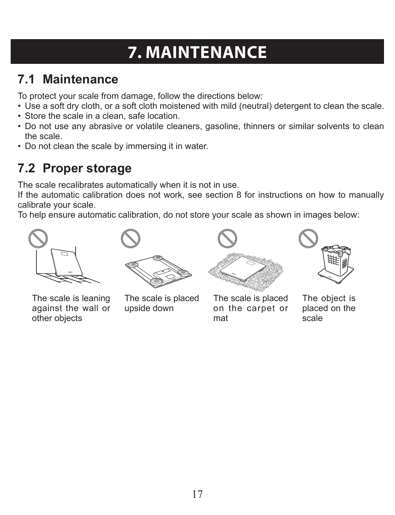## **7. MAINTENANCE**

### <span id="page-16-0"></span>**7.1 Maintenance**

To protect your scale from damage, follow the directions below:

- Use a soft dry cloth, or a soft cloth moistened with mild (neutral) detergent to clean the scale.
- Store the scale in a clean, safe location.
- Do not use any abrasive or volatile cleaners, gasoline, thinners or similar solvents to clean the scale.
- Do not clean the scale by immersing it in water.

### **7.2 Proper storage**

The scale recalibrates automatically when it is not in use.

If the automatic calibration does not work, see [section 8](#page-17-1) for instructions on how to manually calibrate your scale.

To help ensure automatic calibration, do not store your scale as shown in images below:



The scale is leaning against the wall or other objects

The scale is placed upside down



The scale is placed on the carpet or mat



The object is placed on the scale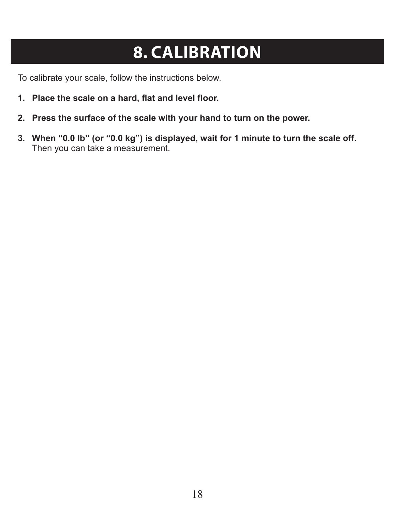### <span id="page-17-1"></span>**8. CALIBRATION**

<span id="page-17-0"></span>To calibrate your scale, follow the instructions below.

- **1. Place the scale on a hard, flat and level floor.**
- **2. Press the surface of the scale with your hand to turn on the power.**
- **3. When "0.0 lb" (or "0.0 kg") is displayed, wait for 1 minute to turn the scale off.** Then you can take a measurement.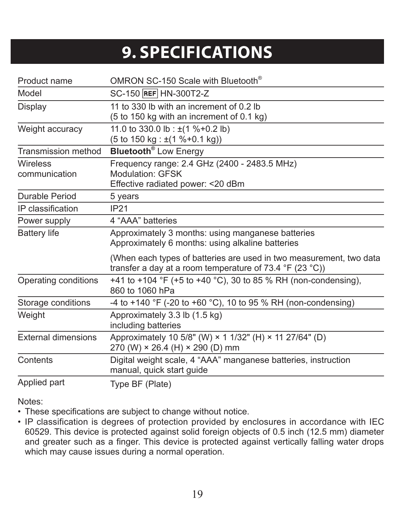## <span id="page-18-1"></span>**9. SPECIFICATIONS**

<span id="page-18-0"></span>

| Product name               | OMRON SC-150 Scale with Bluetooth <sup>®</sup>                                                                                                    |
|----------------------------|---------------------------------------------------------------------------------------------------------------------------------------------------|
| Model                      | SC-150 REF HN-300T2-Z                                                                                                                             |
| Display                    | 11 to 330 lb with an increment of 0.2 lb<br>(5 to 150 kg with an increment of 0.1 kg)                                                             |
| Weight accuracy            | 11.0 to 330.0 lb : ±(1 %+0.2 lb)<br>$(5 \text{ to } 150 \text{ kg} : \pm (1 \text{ %} + 0.1 \text{ kg}))$                                         |
| Transmission method        | <b>Bluetooth<sup>®</sup></b> Low Energy                                                                                                           |
| Wireless<br>communication  | Frequency range: 2.4 GHz (2400 - 2483.5 MHz)<br>Modulation: GFSK<br>Effective radiated power: < 20 dBm                                            |
| Durable Period             | 5 years                                                                                                                                           |
| IP classification          | IP21                                                                                                                                              |
| Power supply               | 4 "AAA" batteries                                                                                                                                 |
| <b>Battery life</b>        | Approximately 3 months: using manganese batteries<br>Approximately 6 months: using alkaline batteries                                             |
|                            | (When each types of batteries are used in two measurement, two data<br>transfer a day at a room temperature of 73.4 $\degree$ F (23 $\degree$ C)) |
| Operating conditions       | +41 to +104 °F (+5 to +40 °C), 30 to 85 % RH (non-condensing),<br>860 to 1060 hPa                                                                 |
| Storage conditions         | -4 to +140 °F (-20 to +60 °C), 10 to 95 % RH (non-condensing)                                                                                     |
| Weight                     | Approximately 3.3 lb (1.5 kg)<br>including batteries                                                                                              |
| <b>External dimensions</b> | Approximately 10 5/8" (W) × 1 1/32" (H) × 11 27/64" (D)<br>270 (W) × 26.4 (H) × 290 (D) mm                                                        |
| Contents                   | Digital weight scale, 4 "AAA" manganese batteries, instruction<br>manual, quick start quide                                                       |
| Applied part               | Type BF (Plate)                                                                                                                                   |

Notes:

• These specifications are subject to change without notice.

• IP classification is degrees of protection provided by enclosures in accordance with IEC 60529. This device is protected against solid foreign objects of 0.5 inch (12.5 mm) diameter and greater such as a finger. This device is protected against vertically falling water drops which may cause issues during a normal operation.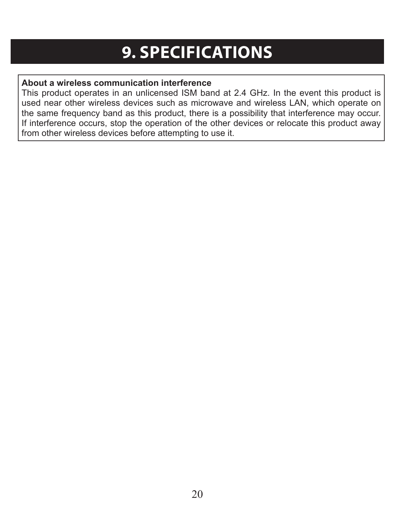### **9. SPECIFICATIONS**

#### **About a wireless communication interference**

This product operates in an unlicensed ISM band at 2.4 GHz. In the event this product is used near other wireless devices such as microwave and wireless LAN, which operate on the same frequency band as this product, there is a possibility that interference may occur. If interference occurs, stop the operation of the other devices or relocate this product away from other wireless devices before attempting to use it.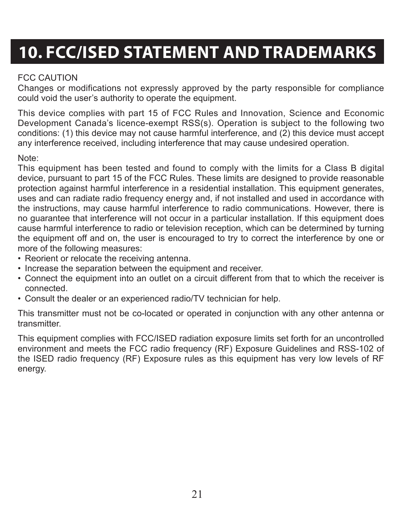## <span id="page-20-0"></span>**10. FCC/ISED STATEMENT AND TRADEMARKS**

#### FCC CAUTION

Changes or modifications not expressly approved by the party responsible for compliance could void the user's authority to operate the equipment.

This device complies with part 15 of FCC Rules and Innovation, Science and Economic Development Canada's licence-exempt RSS(s). Operation is subject to the following two conditions: (1) this device may not cause harmful interference, and (2) this device must accept any interference received, including interference that may cause undesired operation.

#### Note:

This equipment has been tested and found to comply with the limits for a Class B digital device, pursuant to part 15 of the FCC Rules. These limits are designed to provide reasonable protection against harmful interference in a residential installation. This equipment generates, uses and can radiate radio frequency energy and, if not installed and used in accordance with the instructions, may cause harmful interference to radio communications. However, there is no guarantee that interference will not occur in a particular installation. If this equipment does cause harmful interference to radio or television reception, which can be determined by turning the equipment off and on, the user is encouraged to try to correct the interference by one or more of the following measures:

- Reorient or relocate the receiving antenna.
- Increase the separation between the equipment and receiver.
- Connect the equipment into an outlet on a circuit different from that to which the receiver is connected.
- Consult the dealer or an experienced radio/TV technician for help.

This transmitter must not be co-located or operated in conjunction with any other antenna or transmitter.

This equipment complies with FCC/ISED radiation exposure limits set forth for an uncontrolled environment and meets the FCC radio frequency (RF) Exposure Guidelines and RSS-102 of the ISED radio frequency (RF) Exposure rules as this equipment has very low levels of RF energy.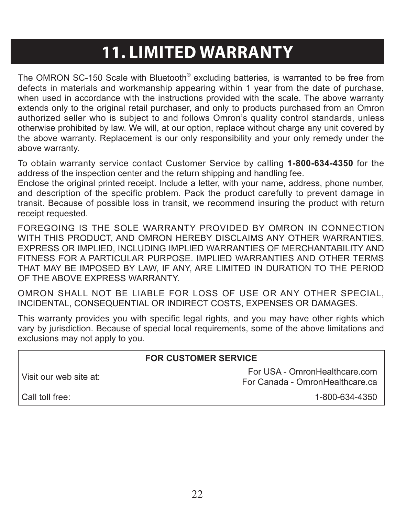### **11. LIMITED WARRANTY**

<span id="page-21-0"></span>The OMRON SC-150 Scale with Bluetooth® excluding batteries, is warranted to be free from defects in materials and workmanship appearing within 1 year from the date of purchase, when used in accordance with the instructions provided with the scale. The above warranty extends only to the original retail purchaser, and only to products purchased from an Omron authorized seller who is subject to and follows Omron's quality control standards, unless otherwise prohibited by law. We will, at our option, replace without charge any unit covered by the above warranty. Replacement is our only responsibility and your only remedy under the above warranty.

To obtain warranty service contact Customer Service by calling **1-800-634-4350** for the address of the inspection center and the return shipping and handling fee.

Enclose the original printed receipt. Include a letter, with your name, address, phone number, and description of the specific problem. Pack the product carefully to prevent damage in transit. Because of possible loss in transit, we recommend insuring the product with return receipt requested.

FOREGOING IS THE SOLE WARRANTY PROVIDED BY OMRON IN CONNECTION WITH THIS PRODUCT. AND OMRON HEREBY DISCLAIMS ANY OTHER WARRANTIES, EXPRESS OR IMPLIED, INCLUDING IMPLIED WARRANTIES OF MERCHANTABILITY AND FITNESS FOR A PARTICULAR PURPOSE. IMPLIED WARRANTIES AND OTHER TERMS THAT MAY BE IMPOSED BY LAW, IF ANY, ARE LIMITED IN DURATION TO THE PERIOD OF THE ABOVE EXPRESS WARRANTY.

OMRON SHALL NOT BE LIABLE FOR LOSS OF USE OR ANY OTHER SPECIAL, INCIDENTAL, CONSEQUENTIAL OR INDIRECT COSTS, EXPENSES OR DAMAGES.

This warranty provides you with specific legal rights, and you may have other rights which vary by jurisdiction. Because of special local requirements, some of the above limitations and exclusions may not apply to you.

#### **FOR CUSTOMER SERVICE**

Visit our web site at: For USA - OmronHealthcare.com For Canada - OmronHealthcare.ca

Call toll free: 1-800-634-4350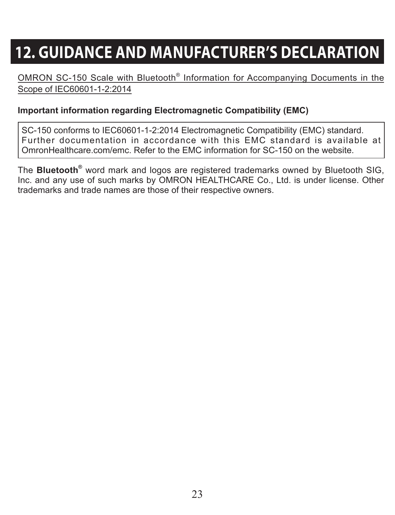### <span id="page-22-0"></span>**12. GUIDANCE AND MANUFACTURER'S DECLARATION**

#### OMRON SC-150 Scale with Bluetooth® Information for Accompanying Documents in the Scope of IEC60601-1-2:2014

#### **Important information regarding Electromagnetic Compatibility (EMC)**

SC-150 conforms to IEC60601-1-2:2014 Electromagnetic Compatibility (EMC) standard. Further documentation in accordance with this EMC standard is available at OmronHealthcare.com/emc. Refer to the EMC information for SC-150 on the website.

The **Bluetooth®** word mark and logos are registered trademarks owned by Bluetooth SIG, Inc. and any use of such marks by OMRON HEALTHCARE Co., Ltd. is under license. Other trademarks and trade names are those of their respective owners.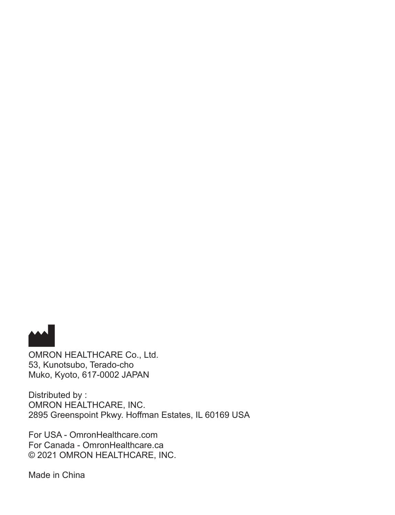

OMRON HEALTHCARE Co., Ltd. 53, Kunotsubo, Terado-cho Muko, Kyoto, 617-0002 JAPAN

Distributed by : OMRON HEALTHCARE, INC. 2895 Greenspoint Pkwy. Hoffman Estates, IL 60169 USA

For USA - OmronHealthcare.com For Canada - OmronHealthcare.ca © 2021 OMRON HEALTHCARE, INC.

Made in China